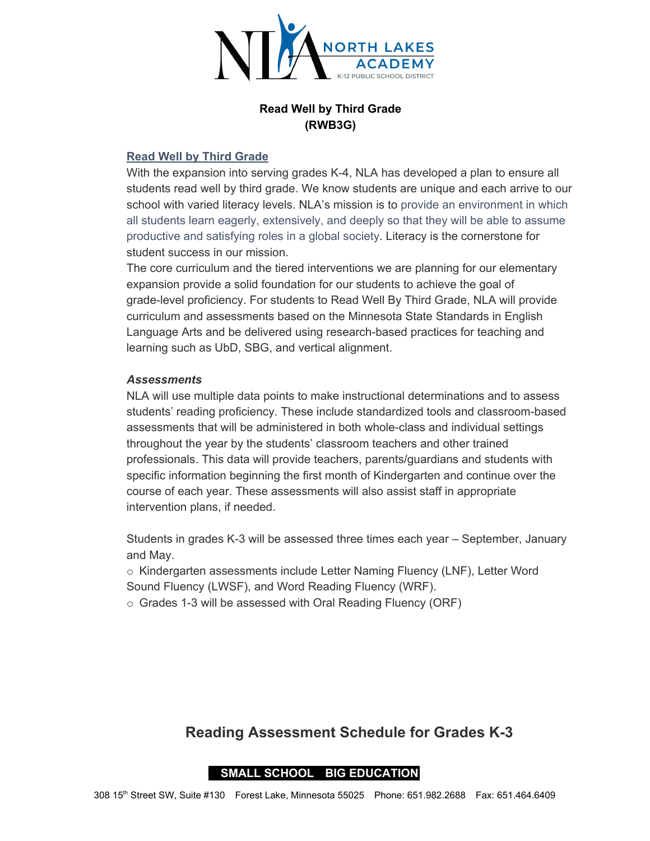

## **Read Well by Third Grade (RWB3G)**

#### **Read Well by Third Grade**

With the expansion into serving grades K-4, NLA has developed a plan to ensure all students read well by third grade. We know students are unique and each arrive to our school with varied literacy levels. NLA's mission is to provide an environment in which all students learn eagerly, extensively, and deeply so that they will be able to assume productive and satisfying roles in a global society. Literacy is the cornerstone for student success in our mission.

The core curriculum and the tiered interventions we are planning for our elementary expansion provide a solid foundation for our students to achieve the goal of grade-level proficiency. For students to Read Well By Third Grade, NLA will provide curriculum and assessments based on the Minnesota State Standards in English Language Arts and be delivered using research-based practices for teaching and learning such as UbD, SBG, and vertical alignment.

#### *Assessments*

NLA will use multiple data points to make instructional determinations and to assess students' reading proficiency. These include standardized tools and classroom-based assessments that will be administered in both whole-class and individual settings throughout the year by the students' classroom teachers and other trained professionals. This data will provide teachers, parents/guardians and students with specific information beginning the first month of Kindergarten and continue over the course of each year. These assessments will also assist staff in appropriate intervention plans, if needed.

Students in grades K-3 will be assessed three times each year – September, January and May.

 $\circ$  Kindergarten assessments include Letter Naming Fluency (LNF), Letter Word Sound Fluency (LWSF), and Word Reading Fluency (WRF).

o Grades 1-3 will be assessed with Oral Reading Fluency (ORF)

# **Reading Assessment Schedule for Grades K-3**

# **I SMALL SCHOOL BIG EDUCATION I**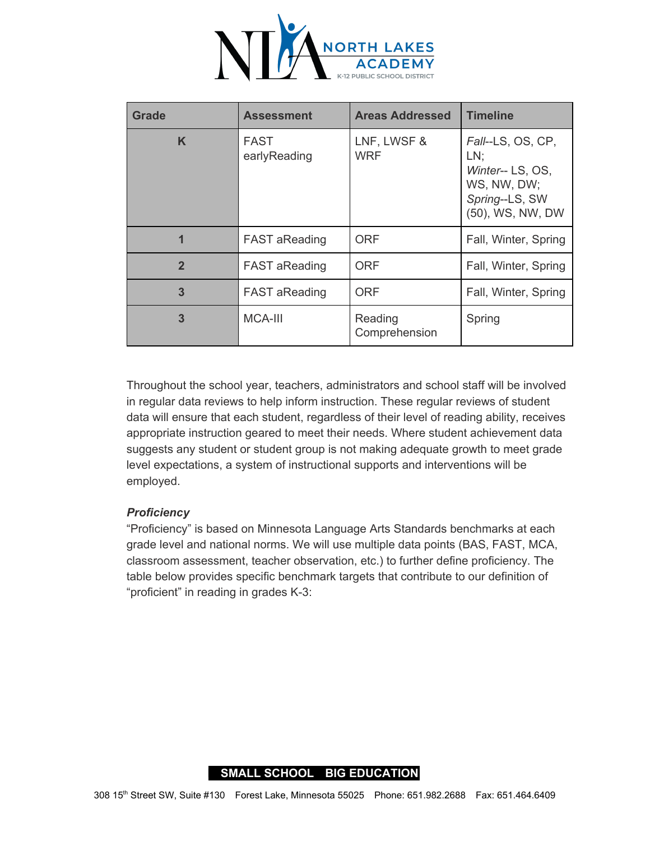

| <b>Grade</b>   | <b>Assessment</b>           | <b>Areas Addressed</b>    | <b>Timeline</b>                                                                                   |
|----------------|-----------------------------|---------------------------|---------------------------------------------------------------------------------------------------|
| K              | <b>FAST</b><br>earlyReading | LNF, LWSF &<br><b>WRF</b> | Fall--LS, OS, CP,<br>LN:<br>Winter-- LS, OS,<br>WS, NW, DW;<br>Spring--LS, SW<br>(50), WS, NW, DW |
| 1              | <b>FAST aReading</b>        | <b>ORF</b>                | Fall, Winter, Spring                                                                              |
| $\overline{2}$ | <b>FAST aReading</b>        | <b>ORF</b>                | Fall, Winter, Spring                                                                              |
| 3              | <b>FAST aReading</b>        | <b>ORF</b>                | Fall, Winter, Spring                                                                              |
| 3              | <b>MCA-III</b>              | Reading<br>Comprehension  | Spring                                                                                            |

Throughout the school year, teachers, administrators and school staff will be involved in regular data reviews to help inform instruction. These regular reviews of student data will ensure that each student, regardless of their level of reading ability, receives appropriate instruction geared to meet their needs. Where student achievement data suggests any student or student group is not making adequate growth to meet grade level expectations, a system of instructional supports and interventions will be employed.

## *Proficiency*

"Proficiency" is based on Minnesota Language Arts Standards benchmarks at each grade level and national norms. We will use multiple data points (BAS, FAST, MCA, classroom assessment, teacher observation, etc.) to further define proficiency. The table below provides specific benchmark targets that contribute to our definition of "proficient" in reading in grades K-3:

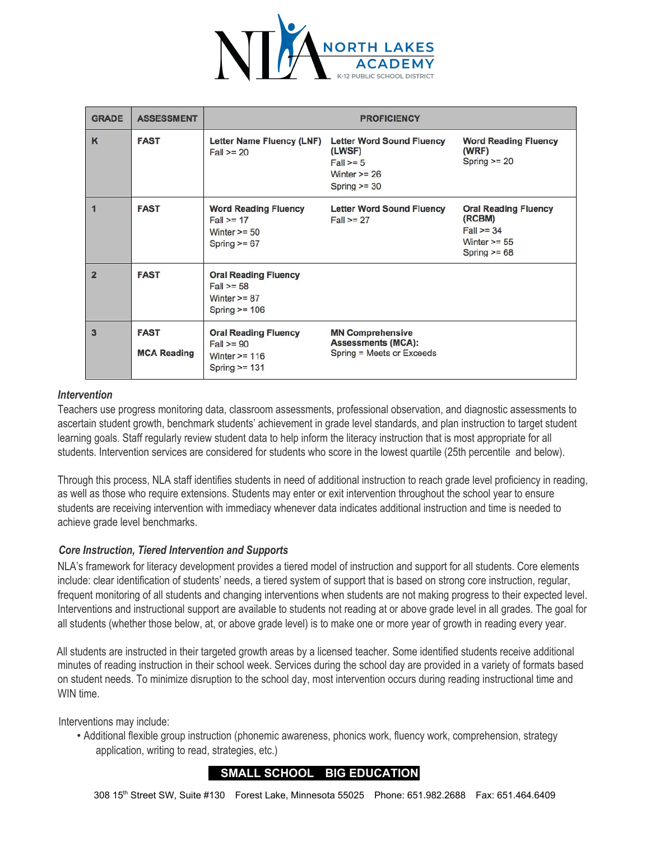

| <b>GRADE</b>   | <b>ASSESSMENT</b>                 | <b>PROFICIENCY</b>                                                                  |                                                                                                |                                                                                             |  |
|----------------|-----------------------------------|-------------------------------------------------------------------------------------|------------------------------------------------------------------------------------------------|---------------------------------------------------------------------------------------------|--|
| K              | <b>FAST</b>                       | Letter Name Fluency (LNF)<br>$Fall = 20$                                            | <b>Letter Word Sound Fluency</b><br>(LWSF)<br>$Fall>=5$<br>Winter $\ge$ = 26<br>Spring $>=$ 30 | <b>Word Reading Fluency</b><br>(WRF)<br>Spring $>= 20$                                      |  |
|                | <b>FAST</b>                       | <b>Word Reading Fluency</b><br>$Fall = 17$<br>Winter $\ge$ = 50<br>Spring $>= 67$   | <b>Letter Word Sound Fluency</b><br>$Fall>=27$                                                 | <b>Oral Reading Fluency</b><br>(RCBM)<br>$Fall = 34$<br>Winter $\ge$ = 55<br>Spring $>= 68$ |  |
| $\overline{2}$ | <b>FAST</b>                       | <b>Oral Reading Fluency</b><br>$Fall = 58$<br>Winter $>= 87$<br>Spring $>= 106$     |                                                                                                |                                                                                             |  |
| $\overline{3}$ | <b>FAST</b><br><b>MCA Reading</b> | <b>Oral Reading Fluency</b><br>$Fall = 90$<br>Winter $\ge$ = 116<br>Spring $>= 131$ | <b>MN Comprehensive</b><br><b>Assessments (MCA):</b><br>Spring = Meets or Exceeds              |                                                                                             |  |

#### *Intervention*

Teachers use progress monitoring data, classroom assessments, professional observation, and diagnostic assessments to ascertain student growth, benchmark students' achievement in grade level standards, and plan instruction to target student learning goals. Staff regularly review student data to help inform the literacy instruction that is most appropriate for all students. Intervention services are considered for students who score in the lowest quartile (25th percentile and below).

Through this process, NLA staff identifies students in need of additional instruction to reach grade level proficiency in reading, as well as those who require extensions. Students may enter or exit intervention throughout the school year to ensure students are receiving intervention with immediacy whenever data indicates additional instruction and time is needed to achieve grade level benchmarks.

#### *Core Instruction, Tiered Intervention and Supports*

NLA's framework for literacy development provides a tiered model of instruction and support for all students. Core elements include: clear identification of students' needs, a tiered system of support that is based on strong core instruction, regular, frequent monitoring of all students and changing interventions when students are not making progress to their expected level. Interventions and instructional support are available to students not reading at or above grade level in all grades. The goal for all students (whether those below, at, or above grade level) is to make one or more year of growth in reading every year.

All students are instructed in their targeted growth areas by a licensed teacher. Some identified students receive additional minutes of reading instruction in their school week. Services during the school day are provided in a variety of formats based on student needs. To minimize disruption to the school day, most intervention occurs during reading instructional time and WIN time.

Interventions may include:

• Additional flexible group instruction (phonemic awareness, phonics work, fluency work, comprehension, strategy application, writing to read, strategies, etc.)

#### **I SMALL SCHOOL BIG EDUCATION I**